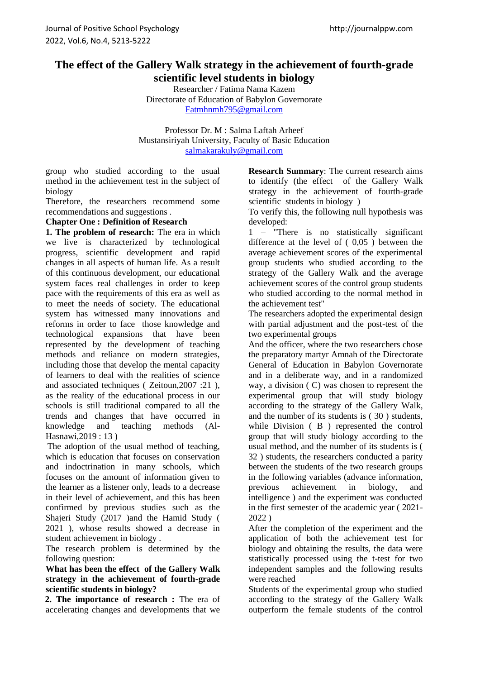# **The effect of the Gallery Walk strategy in the achievement of fourth-grade scientific level students in biology**

Researcher / Fatima Nama Kazem Directorate of Education of Babylon Governorate [Fatmhnmh795@gmail.com](mailto:Fatmhnmh795@gmail.com)

Professor Dr. M : Salma Laftah Arheef Mustansiriyah University, Faculty of Basic Education [salmakarakuly@gmail.com](mailto:salmakarakuly@gmail.com)

group who studied according to the usual method in the achievement test in the subject of biology

Therefore, the researchers recommend some recommendations and suggestions .

## **Chapter One : Definition of Research**

**1. The problem of research:** The era in which we live is characterized by technological progress, scientific development and rapid changes in all aspects of human life. As a result of this continuous development, our educational system faces real challenges in order to keep pace with the requirements of this era as well as to meet the needs of society. The educational system has witnessed many innovations and reforms in order to face those knowledge and technological expansions that have been represented by the development of teaching methods and reliance on modern strategies, including those that develop the mental capacity of learners to deal with the realities of science and associated techniques ( Zeitoun,2007 :21 ), as the reality of the educational process in our schools is still traditional compared to all the trends and changes that have occurred in knowledge and teaching methods (Al-Hasnawi,2019 : 13 )

 The adoption of the usual method of teaching, which is education that focuses on conservation and indoctrination in many schools, which focuses on the amount of information given to the learner as a listener only, leads to a decrease in their level of achievement, and this has been confirmed by previous studies such as the Shajeri Study (2017 )and the Hamid Study ( 2021 ), whose results showed a decrease in student achievement in biology .

The research problem is determined by the following question:

#### **What has been the effect of the Gallery Walk strategy in the achievement of fourth-grade scientific students in biology?**

 **2. The importance of research :** The era of accelerating changes and developments that we

**Research Summary**: The current research aims to identify (the effect of the Gallery Walk strategy in the achievement of fourth-grade scientific students in biology )

To verify this, the following null hypothesis was developed:

1 – "There is no statistically significant difference at the level of ( 0,05 ) between the average achievement scores of the experimental group students who studied according to the strategy of the Gallery Walk and the average achievement scores of the control group students who studied according to the normal method in the achievement test"

The researchers adopted the experimental design with partial adjustment and the post-test of the two experimental groups

And the officer, where the two researchers chose the preparatory martyr Amnah of the Directorate General of Education in Babylon Governorate and in a deliberate way, and in a randomized way, a division ( C) was chosen to represent the experimental group that will study biology according to the strategy of the Gallery Walk, and the number of its students is ( 30 ) students, while Division ( B ) represented the control group that will study biology according to the usual method, and the number of its students is ( 32 ) students, the researchers conducted a parity between the students of the two research groups in the following variables (advance information, previous achievement in biology, and intelligence ) and the experiment was conducted in the first semester of the academic year ( 2021- 2022 )

After the completion of the experiment and the application of both the achievement test for biology and obtaining the results, the data were statistically processed using the t-test for two independent samples and the following results were reached

Students of the experimental group who studied according to the strategy of the Gallery Walk outperform the female students of the control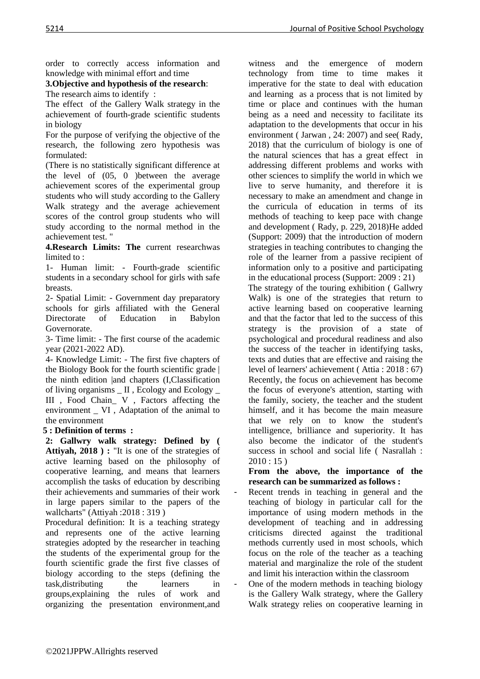order to correctly access information and knowledge with minimal effort and time

# **3.Objective and hypothesis of the research**:

The research aims to identify :

The effect of the Gallery Walk strategy in the achievement of fourth-grade scientific students in biology

For the purpose of verifying the objective of the research, the following zero hypothesis was formulated:

(There is no statistically significant difference at the level of (05, 0 )between the average achievement scores of the experimental group students who will study according to the Gallery Walk strategy and the average achievement scores of the control group students who will study according to the normal method in the achievement test. "

**4.Research Limits: The** current researchwas limited to :

1- Human limit: - Fourth-grade scientific students in a secondary school for girls with safe breasts.

2- Spatial Limit: - Government day preparatory schools for girls affiliated with the General Directorate of Education in Babylon Governorate.

3- Time limit: - The first course of the academic year (2021-2022 AD).

4- Knowledge Limit: - The first five chapters of the Biology Book for the fourth scientific grade | the ninth edition |and chapters (I,Classification of living organisms \_ II , Ecology and Ecology \_ III , Food Chain\_ V , Factors affecting the environment \_ VI , Adaptation of the animal to the environment

# **5 : Definition of terms :**

**2: Gallwry walk strategy: Defined by ( Attiyah, 2018 ) :** "It is one of the strategies of active learning based on the philosophy of cooperative learning, and means that learners accomplish the tasks of education by describing their achievements and summaries of their work in large papers similar to the papers of the wallcharts" (Attiyah :2018 : 319 )

 Procedural definition: It is a teaching strategy and represents one of the active learning strategies adopted by the researcher in teaching the students of the experimental group for the fourth scientific grade the first five classes of biology according to the steps (defining the task,distributing the learners in groups,explaining the rules of work and organizing the presentation environment,and

witness and the emergence of modern technology from time to time makes it imperative for the state to deal with education and learning as a process that is not limited by time or place and continues with the human being as a need and necessity to facilitate its adaptation to the developments that occur in his environment ( Jarwan , 24: 2007) and see( Rady, 2018) that the curriculum of biology is one of the natural sciences that has a great effect in addressing different problems and works with other sciences to simplify the world in which we live to serve humanity, and therefore it is necessary to make an amendment and change in the curricula of education in terms of its methods of teaching to keep pace with change and development ( Rady, p. 229, 2018)He added (Support: 2009) that the introduction of modern strategies in teaching contributes to changing the role of the learner from a passive recipient of information only to a positive and participating in the educational process (Support: 2009 : 21)

 The strategy of the touring exhibition ( Gallwry Walk) is one of the strategies that return to active learning based on cooperative learning and that the factor that led to the success of this strategy is the provision of a state of psychological and procedural readiness and also the success of the teacher in identifying tasks, texts and duties that are effective and raising the level of learners' achievement ( Attia : 2018 : 67) Recently, the focus on achievement has become the focus of everyone's attention, starting with the family, society, the teacher and the student himself, and it has become the main measure that we rely on to know the student's intelligence, brilliance and superiority. It has also become the indicator of the student's success in school and social life ( Nasrallah :  $2010:15$ )

**From the above, the importance of the research can be summarized as follows :** 

Recent trends in teaching in general and the teaching of biology in particular call for the importance of using modern methods in the development of teaching and in addressing criticisms directed against the traditional methods currently used in most schools, which focus on the role of the teacher as a teaching material and marginalize the role of the student and limit his interaction within the classroom

- One of the modern methods in teaching biology is the Gallery Walk strategy, where the Gallery Walk strategy relies on cooperative learning in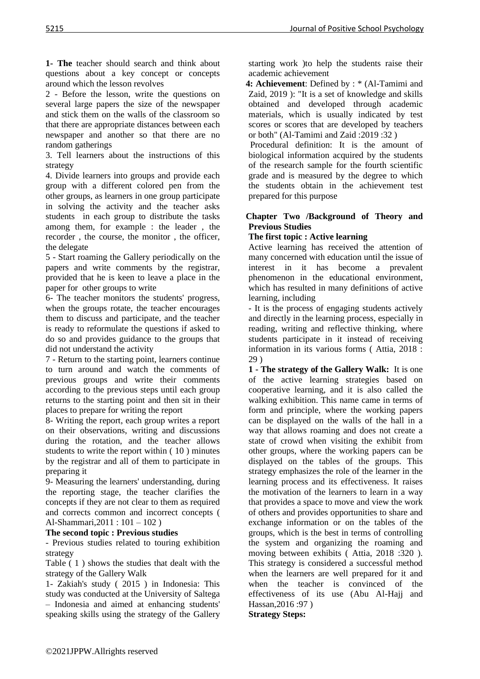**1- The** teacher should search and think about questions about a key concept or concepts around which the lesson revolves

2 - Before the lesson, write the questions on several large papers the size of the newspaper and stick them on the walls of the classroom so that there are appropriate distances between each newspaper and another so that there are no random gatherings

3. Tell learners about the instructions of this strategy

4. Divide learners into groups and provide each group with a different colored pen from the other groups, as learners in one group participate in solving the activity and the teacher asks students in each group to distribute the tasks among them, for example : the leader , the recorder , the course, the monitor , the officer, the delegate

5 - Start roaming the Gallery periodically on the papers and write comments by the registrar, provided that he is keen to leave a place in the paper for other groups to write

6- The teacher monitors the students' progress, when the groups rotate, the teacher encourages them to discuss and participate, and the teacher is ready to reformulate the questions if asked to do so and provides guidance to the groups that did not understand the activity

7 - Return to the starting point, learners continue to turn around and watch the comments of previous groups and write their comments according to the previous steps until each group returns to the starting point and then sit in their places to prepare for writing the report

8- Writing the report, each group writes a report on their observations, writing and discussions during the rotation, and the teacher allows students to write the report within ( 10 ) minutes by the registrar and all of them to participate in preparing it

9- Measuring the learners' understanding, during the reporting stage, the teacher clarifies the concepts if they are not clear to them as required and corrects common and incorrect concepts ( Al-Shammari,2011 : 101 – 102 )

# **The second topic : Previous studies**

- Previous studies related to touring exhibition strategy

Table ( 1 ) shows the studies that dealt with the strategy of the Gallery Walk

1- Zakiah's study ( 2015 ) in Indonesia: This study was conducted at the University of Saltega – Indonesia and aimed at enhancing students' speaking skills using the strategy of the Gallery starting work )to help the students raise their academic achievement

 **4: Achievement**: Defined by : \* (Al-Tamimi and Zaid, 2019 ): "It is a set of knowledge and skills obtained and developed through academic materials, which is usually indicated by test scores or scores that are developed by teachers or both" (Al-Tamimi and Zaid :2019 :32 )

 Procedural definition: It is the amount of biological information acquired by the students of the research sample for the fourth scientific grade and is measured by the degree to which the students obtain in the achievement test prepared for this purpose

## **Chapter Two /Background of Theory and Previous Studies**

## **The first topic : Active learning**

Active learning has received the attention of many concerned with education until the issue of interest in it has become a prevalent phenomenon in the educational environment, which has resulted in many definitions of active learning, including

- It is the process of engaging students actively and directly in the learning process, especially in reading, writing and reflective thinking, where students participate in it instead of receiving information in its various forms ( Attia, 2018 : 29 )

**1 - The strategy of the Gallery Walk:** It is one of the active learning strategies based on cooperative learning, and it is also called the walking exhibition. This name came in terms of form and principle, where the working papers can be displayed on the walls of the hall in a way that allows roaming and does not create a state of crowd when visiting the exhibit from other groups, where the working papers can be displayed on the tables of the groups. This strategy emphasizes the role of the learner in the learning process and its effectiveness. It raises the motivation of the learners to learn in a way that provides a space to move and view the work of others and provides opportunities to share and exchange information or on the tables of the groups, which is the best in terms of controlling the system and organizing the roaming and moving between exhibits ( Attia, 2018 :320 ). This strategy is considered a successful method when the learners are well prepared for it and when the teacher is convinced of the effectiveness of its use (Abu Al-Hajj and Hassan,2016 :97 )

**Strategy Steps:**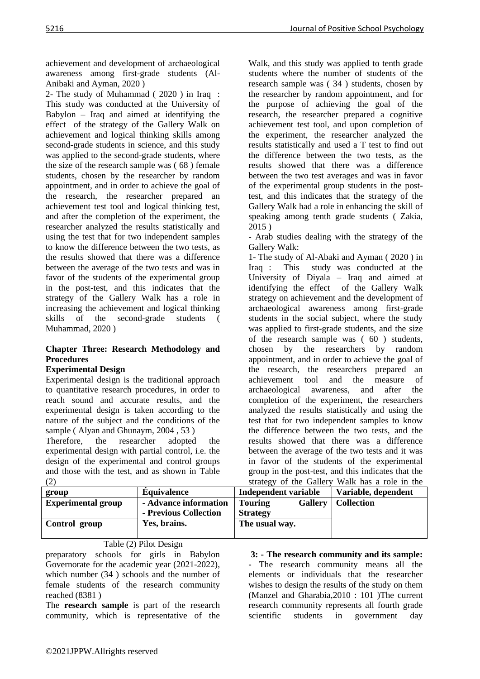achievement and development of archaeological awareness among first-grade students (Al-Anibaki and Ayman, 2020 )

2- The study of Muhammad ( 2020 ) in Iraq : This study was conducted at the University of Babylon – Iraq and aimed at identifying the effect of the strategy of the Gallery Walk on achievement and logical thinking skills among second-grade students in science, and this study was applied to the second-grade students, where the size of the research sample was ( 68 ) female students, chosen by the researcher by random appointment, and in order to achieve the goal of the research, the researcher prepared an achievement test tool and logical thinking test, and after the completion of the experiment, the researcher analyzed the results statistically and using the test that for two independent samples to know the difference between the two tests, as the results showed that there was a difference between the average of the two tests and was in favor of the students of the experimental group in the post-test, and this indicates that the strategy of the Gallery Walk has a role in increasing the achievement and logical thinking skills of the second-grade students ( Muhammad, 2020 )

## **Chapter Three: Research Methodology and Procedures**

# **Experimental Design**

Experimental design is the traditional approach to quantitative research procedures, in order to reach sound and accurate results, and the experimental design is taken according to the nature of the subject and the conditions of the sample ( Alyan and Ghunaym, 2004 , 53 )

Therefore, the researcher adopted the experimental design with partial control, i.e. the design of the experimental and control groups and those with the test, and as shown in Table (2)

Walk, and this study was applied to tenth grade students where the number of students of the research sample was ( 34 ) students, chosen by the researcher by random appointment, and for the purpose of achieving the goal of the research, the researcher prepared a cognitive achievement test tool, and upon completion of the experiment, the researcher analyzed the results statistically and used a T test to find out the difference between the two tests, as the results showed that there was a difference between the two test averages and was in favor of the experimental group students in the posttest, and this indicates that the strategy of the Gallery Walk had a role in enhancing the skill of speaking among tenth grade students ( Zakia, 2015 )

- Arab studies dealing with the strategy of the Gallery Walk:

1- The study of Al-Abaki and Ayman ( 2020 ) in Iraq : This study was conducted at the University of Diyala – Iraq and aimed at identifying the effect of the Gallery Walk strategy on achievement and the development of archaeological awareness among first-grade students in the social subject, where the study was applied to first-grade students, and the size of the research sample was ( 60 ) students, chosen by the researchers by random appointment, and in order to achieve the goal of the research, the researchers prepared an achievement tool and the measure of archaeological awareness, and after the completion of the experiment, the researchers analyzed the results statistically and using the test that for two independent samples to know the difference between the two tests, and the results showed that there was a difference between the average of the two tests and it was in favor of the students of the experimental group in the post-test, and this indicates that the strategy of the Gallery Walk has a role in the

|                           |                       |                                  | strategy of the Gallery walk has a fole in the |
|---------------------------|-----------------------|----------------------------------|------------------------------------------------|
| group                     | <b>Equivalence</b>    | <b>Independent variable</b>      | Variable, dependent                            |
| <b>Experimental group</b> | - Advance information | <b>Gallery</b><br><b>Touring</b> | <b>Collection</b>                              |
|                           | - Previous Collection | <b>Strategy</b>                  |                                                |
| Control group             | Yes, brains.          | The usual way.                   |                                                |
|                           |                       |                                  |                                                |

Table (2) Pilot Design

preparatory schools for girls in Babylon Governorate for the academic year (2021-2022), which number (34 ) schools and the number of female students of the research community reached (8381 )

The **research sample** is part of the research community, which is representative of the

#### **3: - The research community and its sample:**

**-** The research community means all the elements or individuals that the researcher wishes to design the results of the study on them (Manzel and Gharabia,2010 : 101 )The current research community represents all fourth grade scientific students in government day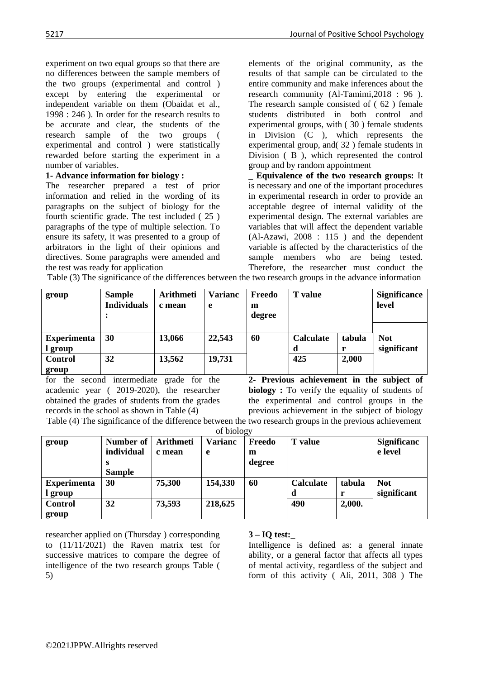experiment on two equal groups so that there are no differences between the sample members of the two groups (experimental and control ) except by entering the experimental or independent variable on them (Obaidat et al., 1998 : 246 ). In order for the research results to be accurate and clear, the students of the research sample of the two groups ( experimental and control ) were statistically rewarded before starting the experiment in a number of variables.

# **1- Advance information for biology :**

The researcher prepared a test of prior information and relied in the wording of its paragraphs on the subject of biology for the fourth scientific grade. The test included ( 25 ) paragraphs of the type of multiple selection. To ensure its safety, it was presented to a group of arbitrators in the light of their opinions and directives. Some paragraphs were amended and the test was ready for application

elements of the original community, as the results of that sample can be circulated to the entire community and make inferences about the research community (Al-Tamimi,2018 : 96 ). The research sample consisted of ( 62 ) female students distributed in both control and experimental groups, with ( 30 ) female students in Division (C ), which represents the experimental group, and( 32 ) female students in Division ( B ), which represented the control group and by random appointment

**\_ Equivalence of the two research groups:** It is necessary and one of the important procedures in experimental research in order to provide an acceptable degree of internal validity of the experimental design. The external variables are variables that will affect the dependent variable (Al-Azawi, 2008 : 115 ) and the dependent variable is affected by the characteristics of the sample members who are being tested. Therefore, the researcher must conduct the

Table (3) The significance of the differences between the two research groups in the advance information

| group                         | <b>Sample</b><br><b>Individuals</b><br>$\bullet$ | <b>Arithmeti</b><br>c mean | <b>Varianc</b><br>e | Freedo<br>m<br>degree | <b>T</b> value        |        | <b>Significance</b><br>level |
|-------------------------------|--------------------------------------------------|----------------------------|---------------------|-----------------------|-----------------------|--------|------------------------------|
| <b>Experimenta</b><br>l group | 30                                               | 13,066                     | 22,543              | 60                    | <b>Calculate</b><br>d | tabula | <b>Not</b><br>significant    |
| <b>Control</b><br>group       | 32                                               | 13,562                     | 19,731              |                       | 425                   | 2,000  |                              |

for the second intermediate grade for the academic year ( 2019-2020), the researcher obtained the grades of students from the grades records in the school as shown in Table (4)

**2- Previous achievement in the subject of biology** : To verify the equality of students of the experimental and control groups in the previous achievement in the subject of biology Table (4) The significance of the difference between the two research groups in the previous achievement

of biology

| group                         | Number of<br>individual<br>S<br><b>Sample</b> | Arithmeti<br>c mean | <b>Varianc</b><br>e | ر -<br>Freedo<br>m<br>degree | <b>T</b> value |        | <b>Significanc</b><br>e level |
|-------------------------------|-----------------------------------------------|---------------------|---------------------|------------------------------|----------------|--------|-------------------------------|
| <b>Experimenta</b><br>l group | 30                                            | 75,300              | 154,330             | 60                           | Calculate<br>d | tabula | <b>Not</b><br>significant     |
| <b>Control</b><br>group       | 32                                            | 73,593              | 218,625             |                              | 490            | 2,000. |                               |

researcher applied on (Thursday ) corresponding to (11/11/2021) the Raven matrix test for successive matrices to compare the degree of intelligence of the two research groups Table ( 5)

# **3 – IQ test:\_**

Intelligence is defined as: a general innate ability, or a general factor that affects all types of mental activity, regardless of the subject and form of this activity ( Ali, 2011, 308 ) The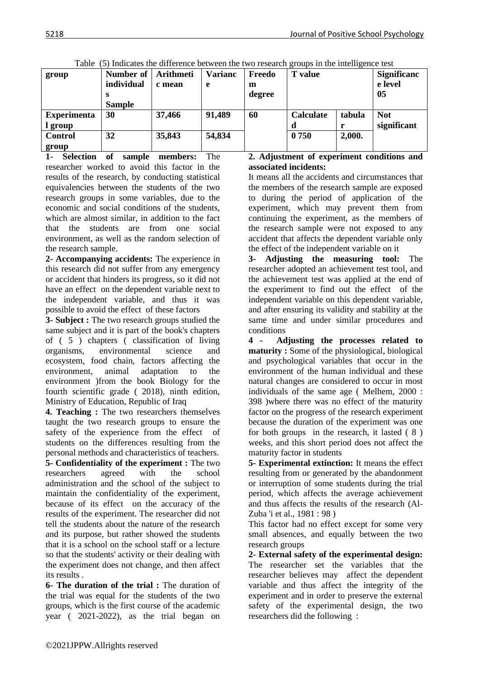| group                         | Number of<br>individual<br>s<br><b>Sample</b> | <b>Arithmeti</b><br>c mean | Varianc<br>e | Freedo<br>m<br>degree | <b>T</b> value   |        | <b>Significanc</b><br>e level<br>05 |
|-------------------------------|-----------------------------------------------|----------------------------|--------------|-----------------------|------------------|--------|-------------------------------------|
| <b>Experimenta</b><br>l group | 30                                            | 37,466                     | 91,489       | 60                    | <b>Calculate</b> | tabula | <b>Not</b><br>significant           |
| <b>Control</b><br>group       | 32                                            | 35,843                     | 54,834       |                       | 0 750            | 2,000. |                                     |

Table (5) Indicates the difference between the two research groups in the intelligence test

**1- Selection of sample members:** The researcher worked to avoid this factor in the results of the research, by conducting statistical equivalencies between the students of the two research groups in some variables, due to the economic and social conditions of the students, which are almost similar, in addition to the fact that the students are from one social environment, as well as the random selection of the research sample.

**2- Accompanying accidents:** The experience in this research did not suffer from any emergency or accident that hinders its progress, so it did not have an effect on the dependent variable next to the independent variable, and thus it was possible to avoid the effect of these factors

**3- Subject :** The two research groups studied the same subject and it is part of the book's chapters of ( 5 ) chapters ( classification of living organisms, environmental science and ecosystem, food chain, factors affecting the environment, animal adaptation to the environment )from the book Biology for the fourth scientific grade ( 2018), ninth edition, Ministry of Education, Republic of Iraq

**4. Teaching :** The two researchers themselves taught the two research groups to ensure the safety of the experience from the effect of students on the differences resulting from the personal methods and characteristics of teachers. **5- Confidentiality of the experiment :** The two researchers agreed with the school administration and the school of the subject to maintain the confidentiality of the experiment, because of its effect on the accuracy of the results of the experiment. The researcher did not tell the students about the nature of the research and its purpose, but rather showed the students that it is a school on the school staff or a lecture so that the students' activity or their dealing with the experiment does not change, and then affect its results .

**6- The duration of the trial :** The duration of the trial was equal for the students of the two groups, which is the first course of the academic year ( 2021-2022), as the trial began on

## **2. Adjustment of experiment conditions and associated incidents:**

It means all the accidents and circumstances that the members of the research sample are exposed to during the period of application of the experiment, which may prevent them from continuing the experiment, as the members of the research sample were not exposed to any accident that affects the dependent variable only the effect of the independent variable on it

**3- Adjusting the measuring tool:** The researcher adopted an achievement test tool, and the achievement test was applied at the end of the experiment to find out the effect of the independent variable on this dependent variable, and after ensuring its validity and stability at the same time and under similar procedures and conditions

**4 - Adjusting the processes related to maturity :** Some of the physiological, biological and psychological variables that occur in the environment of the human individual and these natural changes are considered to occur in most individuals of the same age ( Melhem, 2000 : 398 )where there was no effect of the maturity factor on the progress of the research experiment because the duration of the experiment was one for both groups in the research, it lasted ( 8 ) weeks, and this short period does not affect the maturity factor in students

**5- Experimental extinction:** It means the effect resulting from or generated by the abandonment or interruption of some students during the trial period, which affects the average achievement and thus affects the results of the research (Al-Zuba 'i et al., 1981 : 98 )

This factor had no effect except for some very small absences, and equally between the two research groups

**2- External safety of the experimental design:** The researcher set the variables that the researcher believes may affect the dependent variable and thus affect the integrity of the experiment and in order to preserve the external safety of the experimental design, the two researchers did the following :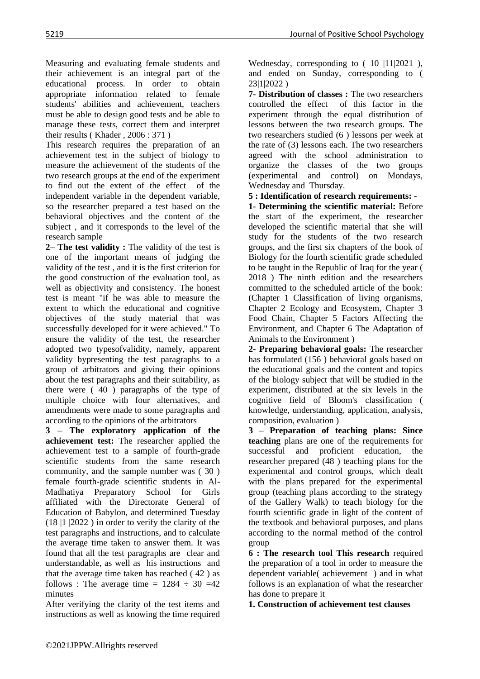Measuring and evaluating female students and their achievement is an integral part of the educational process. In order to obtain appropriate information related to female students' abilities and achievement, teachers must be able to design good tests and be able to manage these tests, correct them and interpret their results ( Khader , 2006 : 371 )

This research requires the preparation of an achievement test in the subject of biology to measure the achievement of the students of the two research groups at the end of the experiment to find out the extent of the effect of the independent variable in the dependent variable, so the researcher prepared a test based on the behavioral objectives and the content of the subject , and it corresponds to the level of the research sample

**2– The test validity :** The validity of the test is one of the important means of judging the validity of the test , and it is the first criterion for the good construction of the evaluation tool, as well as objectivity and consistency. The honest test is meant "if he was able to measure the extent to which the educational and cognitive objectives of the study material that was successfully developed for it were achieved." To ensure the validity of the test, the researcher adopted two typesofvalidity, namely, apparent validity bypresenting the test paragraphs to a group of arbitrators and giving their opinions about the test paragraphs and their suitability, as there were ( 40 ) paragraphs of the type of multiple choice with four alternatives, and amendments were made to some paragraphs and according to the opinions of the arbitrators

**3 – The exploratory application of the achievement test:** The researcher applied the achievement test to a sample of fourth-grade scientific students from the same research community, and the sample number was ( 30 ) female fourth-grade scientific students in Al-Madhatiya Preparatory School for Girls affiliated with the Directorate General of Education of Babylon, and determined Tuesday (18 |1 |2022 ) in order to verify the clarity of the test paragraphs and instructions, and to calculate the average time taken to answer them. It was found that all the test paragraphs are clear and understandable, as well as his instructions and that the average time taken has reached ( 42 ) as follows : The average time =  $1284 \div 30 = 42$ minutes

After verifying the clarity of the test items and instructions as well as knowing the time required Wednesday, corresponding to ( 10 |11|2021 ), and ended on Sunday, corresponding to ( 23|1|2022 )

**7- Distribution of classes :** The two researchers controlled the effect of this factor in the experiment through the equal distribution of lessons between the two research groups. The two researchers studied (6 ) lessons per week at the rate of (3) lessons each. The two researchers agreed with the school administration to organize the classes of the two groups (experimental and control) on Mondays, Wednesday and Thursday.

**5 : Identification of research requirements: -**

**1- Determining the scientific material:** Before the start of the experiment, the researcher developed the scientific material that she will study for the students of the two research groups, and the first six chapters of the book of Biology for the fourth scientific grade scheduled to be taught in the Republic of Iraq for the year ( 2018 ) The ninth edition and the researchers committed to the scheduled article of the book: (Chapter 1 Classification of living organisms, Chapter 2 Ecology and Ecosystem, Chapter 3 Food Chain, Chapter 5 Factors Affecting the Environment, and Chapter 6 The Adaptation of Animals to the Environment )

**2- Preparing behavioral goals:** The researcher has formulated (156 ) behavioral goals based on the educational goals and the content and topics of the biology subject that will be studied in the experiment, distributed at the six levels in the cognitive field of Bloom's classification ( knowledge, understanding, application, analysis, composition, evaluation )

**3 – Preparation of teaching plans: Since teaching** plans are one of the requirements for successful and proficient education, the researcher prepared (48 ) teaching plans for the experimental and control groups, which dealt with the plans prepared for the experimental group (teaching plans according to the strategy of the Gallery Walk) to teach biology for the fourth scientific grade in light of the content of the textbook and behavioral purposes, and plans according to the normal method of the control group

**6 : The research tool This research** required the preparation of a tool in order to measure the dependent variable( achievement ) and in what follows is an explanation of what the researcher has done to prepare it

**1. Construction of achievement test clauses**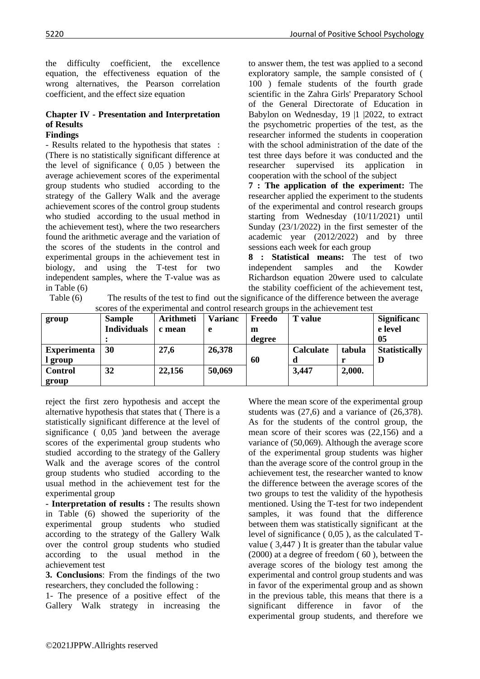the difficulty coefficient, the excellence equation, the effectiveness equation of the wrong alternatives, the Pearson correlation coefficient, and the effect size equation

#### **Chapter IV - Presentation and Interpretation of Results Findings**

- Results related to the hypothesis that states : (There is no statistically significant difference at the level of significance ( 0,05 ) between the average achievement scores of the experimental group students who studied according to the strategy of the Gallery Walk and the average achievement scores of the control group students who studied according to the usual method in the achievement test), where the two researchers found the arithmetic average and the variation of the scores of the students in the control and experimental groups in the achievement test in biology, and using the T-test for two independent samples, where the T-value was as in Table (6)

to answer them, the test was applied to a second exploratory sample, the sample consisted of ( 100 ) female students of the fourth grade scientific in the Zahra Girls' Preparatory School of the General Directorate of Education in Babylon on Wednesday, 19 |1 |2022, to extract the psychometric properties of the test, as the researcher informed the students in cooperation with the school administration of the date of the test three days before it was conducted and the researcher supervised its application cooperation with the school of the subject

**7 : The application of the experiment:** The researcher applied the experiment to the students of the experimental and control research groups starting from Wednesday (10/11/2021) until Sunday (23/1/2022) in the first semester of the academic year (2012/2022) and by three sessions each week for each group

**8 : Statistical means:** The test of two independent samples and the Kowder Richardson equation 20were used to calculate the stability coefficient of the achievement test,

| scores of the experimental and control research groups in the achievement test |                    |                  |                |        |                |        |                      |  |
|--------------------------------------------------------------------------------|--------------------|------------------|----------------|--------|----------------|--------|----------------------|--|
| group                                                                          | <b>Sample</b>      | <b>Arithmeti</b> | <b>Varianc</b> | Freedo | <b>T</b> value |        | <b>Significanc</b>   |  |
|                                                                                | <b>Individuals</b> | c mean           | e              | m      |                |        | e level              |  |
|                                                                                |                    |                  |                | degree |                |        | 05                   |  |
| <b>Experimenta</b>                                                             | <b>30</b>          | 27,6             | 26,378         |        | Calculate      | tabula | <b>Statistically</b> |  |
| l group                                                                        |                    |                  |                | 60     |                |        |                      |  |
| <b>Control</b>                                                                 | 32                 | 22,156           | 50,069         |        | 3,447          | 2,000. |                      |  |
| group                                                                          |                    |                  |                |        |                |        |                      |  |

Table (6) The results of the test to find out the significance of the difference between the average scores of the experimental and control research groups in the achievement test

reject the first zero hypothesis and accept the alternative hypothesis that states that (There is a statistically significant difference at the level of significance ( 0,05 )and between the average scores of the experimental group students who studied according to the strategy of the Gallery Walk and the average scores of the control group students who studied according to the usual method in the achievement test for the experimental group

**- Interpretation of results :** The results shown in Table (6) showed the superiority of the experimental group students who studied according to the strategy of the Gallery Walk over the control group students who studied according to the usual method in the achievement test

**3. Conclusions**: From the findings of the two researchers, they concluded the following :

1- The presence of a positive effect of the Gallery Walk strategy in increasing the Where the mean score of the experimental group students was (27,6) and a variance of (26,378). As for the students of the control group, the mean score of their scores was (22,156) and a variance of (50,069). Although the average score of the experimental group students was higher than the average score of the control group in the achievement test, the researcher wanted to know the difference between the average scores of the two groups to test the validity of the hypothesis mentioned. Using the T-test for two independent samples, it was found that the difference between them was statistically significant at the level of significance ( 0,05 ), as the calculated Tvalue ( 3,447 ) It is greater than the tabular value (2000) at a degree of freedom ( 60 ), between the average scores of the biology test among the experimental and control group students and was in favor of the experimental group and as shown in the previous table, this means that there is a significant difference in favor of the experimental group students, and therefore we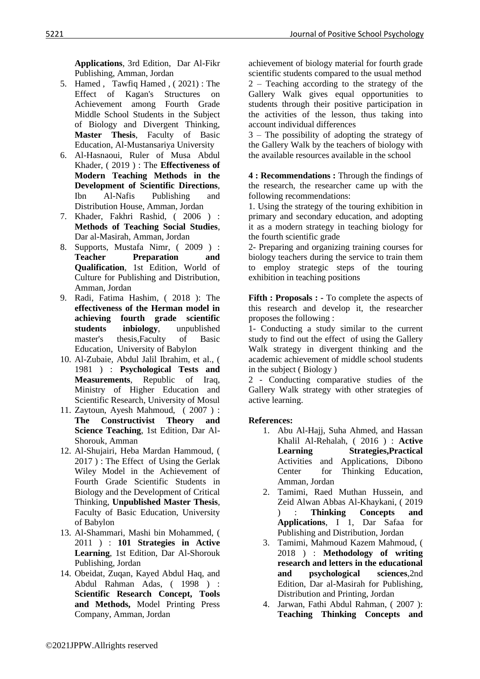**Applications**, 3rd Edition, Dar Al-Fikr Publishing, Amman, Jordan

- 5. Hamed , Tawfiq Hamed , ( 2021) : The Effect of Kagan's Structures on Achievement among Fourth Grade Middle School Students in the Subject of Biology and Divergent Thinking, **Master Thesis**, Faculty of Basic Education, Al-Mustansariya University
- 6. Al-Hasnaoui, Ruler of Musa Abdul Khader, ( 2019 ) : The **Effectiveness of Modern Teaching Methods in the Development of Scientific Directions**, Ibn Al-Nafis Publishing and Distribution House, Amman, Jordan
- 7. Khader, Fakhri Rashid, ( 2006 ) : **Methods of Teaching Social Studies**, Dar al-Masirah, Amman, Jordan
- 8. Supports, Mustafa Nimr, ( 2009 ) : **Teacher Preparation and Qualification**, 1st Edition, World of Culture for Publishing and Distribution, Amman, Jordan
- 9. Radi, Fatima Hashim, ( 2018 ): The **effectiveness of the Herman model in achieving fourth grade scientific students inbiology**, unpublished master's thesis,Faculty of Basic Education, University of Babylon
- 10. Al-Zubaie, Abdul Jalil Ibrahim, et al., ( 1981 ) : **Psychological Tests and Measurements**, Republic of Iraq, Ministry of Higher Education and Scientific Research, University of Mosul
- 11. Zaytoun, Ayesh Mahmoud, ( 2007 ) : **The Constructivist Theory and Science Teaching**, 1st Edition, Dar Al-Shorouk, Amman
- 12. Al-Shujairi, Heba Mardan Hammoud, ( 2017 ) : The Effect of Using the Gerlak Wiley Model in the Achievement of Fourth Grade Scientific Students in Biology and the Development of Critical Thinking, **Unpublished Master Thesis**, Faculty of Basic Education, University of Babylon
- 13. Al-Shammari, Mashi bin Mohammed, ( 2011 ) : **101 Strategies in Active Learning**, 1st Edition, Dar Al-Shorouk Publishing, Jordan
- 14. Obeidat, Zuqan, Kayed Abdul Haq, and Abdul Rahman Adas, ( 1998 ) : **Scientific Research Concept, Tools and Methods,** Model Printing Press Company, Amman, Jordan

achievement of biology material for fourth grade scientific students compared to the usual method 2 – Teaching according to the strategy of the Gallery Walk gives equal opportunities to students through their positive participation in the activities of the lesson, thus taking into account individual differences

3 – The possibility of adopting the strategy of the Gallery Walk by the teachers of biology with the available resources available in the school

**4 : Recommendations :** Through the findings of the research, the researcher came up with the following recommendations:

1. Using the strategy of the touring exhibition in primary and secondary education, and adopting it as a modern strategy in teaching biology for the fourth scientific grade

2- Preparing and organizing training courses for biology teachers during the service to train them to employ strategic steps of the touring exhibition in teaching positions

**Fifth : Proposals : -** To complete the aspects of this research and develop it, the researcher proposes the following :

1- Conducting a study similar to the current study to find out the effect of using the Gallery Walk strategy in divergent thinking and the academic achievement of middle school students in the subject ( Biology )

2 - Conducting comparative studies of the Gallery Walk strategy with other strategies of active learning.

# **References:**

- 1. Abu Al-Hajj, Suha Ahmed, and Hassan Khalil Al-Rehalah, ( 2016 ) : **Active Learning Strategies,Practical**  Activities and Applications, Dibono Center for Thinking Education, Amman, Jordan
- 2. Tamimi, Raed Muthan Hussein, and Zeid Alwan Abbas Al-Khaykani, ( 2019 ) : **Thinking Concepts and Applications**, I 1, Dar Safaa for Publishing and Distribution, Jordan
- 3. Tamimi, Mahmoud Kazem Mahmoud, ( 2018 ) : **Methodology of writing research and letters in the educational and psychological sciences**,2nd Edition, Dar al-Masirah for Publishing, Distribution and Printing, Jordan
- 4. Jarwan, Fathi Abdul Rahman, ( 2007 ): **Teaching Thinking Concepts and**